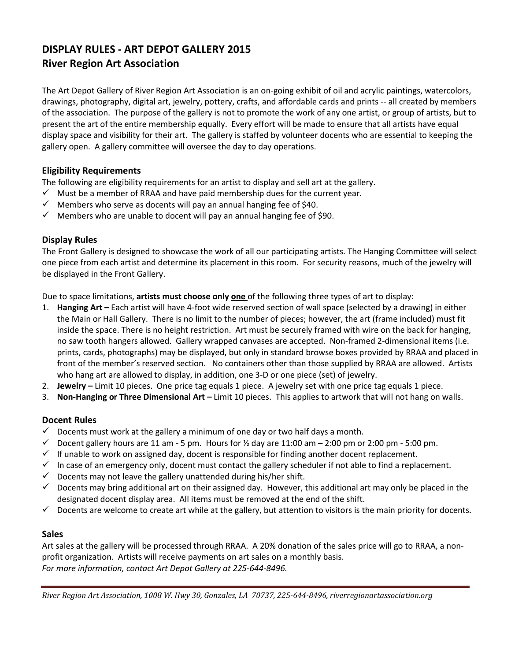# DISPLAY RULES - ART DEPOT GALLERY 2015 River Region Art Association

The Art Depot Gallery of River Region Art Association is an on-going exhibit of oil and acrylic paintings, watercolors, drawings, photography, digital art, jewelry, pottery, crafts, and affordable cards and prints -- all created by members of the association. The purpose of the gallery is not to promote the work of any one artist, or group of artists, but to present the art of the entire membership equally. Every effort will be made to ensure that all artists have equal display space and visibility for their art. The gallery is staffed by volunteer docents who are essential to keeping the gallery open. A gallery committee will oversee the day to day operations.

### Eligibility Requirements

The following are eligibility requirements for an artist to display and sell art at the gallery.

- $\checkmark$  Must be a member of RRAA and have paid membership dues for the current year.
- $\checkmark$  Members who serve as docents will pay an annual hanging fee of \$40.
- $\checkmark$  Members who are unable to docent will pay an annual hanging fee of \$90.

#### Display Rules

The Front Gallery is designed to showcase the work of all our participating artists. The Hanging Committee will select one piece from each artist and determine its placement in this room. For security reasons, much of the jewelry will be displayed in the Front Gallery.

Due to space limitations, artists must choose only one of the following three types of art to display:

- 1. Hanging Art Each artist will have 4-foot wide reserved section of wall space (selected by a drawing) in either the Main or Hall Gallery. There is no limit to the number of pieces; however, the art (frame included) must fit inside the space. There is no height restriction. Art must be securely framed with wire on the back for hanging, no saw tooth hangers allowed. Gallery wrapped canvases are accepted. Non-framed 2-dimensional items (i.e. prints, cards, photographs) may be displayed, but only in standard browse boxes provided by RRAA and placed in front of the member's reserved section. No containers other than those supplied by RRAA are allowed. Artists who hang art are allowed to display, in addition, one 3-D or one piece (set) of jewelry.
- 2. Jewelry Limit 10 pieces. One price tag equals 1 piece. A jewelry set with one price tag equals 1 piece.
- 3. Non-Hanging or Three Dimensional Art Limit 10 pieces. This applies to artwork that will not hang on walls.

## Docent Rules

- $\checkmark$  Docents must work at the gallery a minimum of one day or two half days a month.
- $\checkmark$  Docent gallery hours are 11 am 5 pm. Hours for  $\frac{1}{2}$  day are 11:00 am  $-$  2:00 pm or 2:00 pm 5:00 pm.
- $\checkmark$  If unable to work on assigned day, docent is responsible for finding another docent replacement.
- $\checkmark$  In case of an emergency only, docent must contact the gallery scheduler if not able to find a replacement.
- $\checkmark$  Docents may not leave the gallery unattended during his/her shift.
- $\checkmark$  Docents may bring additional art on their assigned day. However, this additional art may only be placed in the designated docent display area. All items must be removed at the end of the shift.
- $\checkmark$  Docents are welcome to create art while at the gallery, but attention to visitors is the main priority for docents.

#### Sales

Art sales at the gallery will be processed through RRAA. A 20% donation of the sales price will go to RRAA, a nonprofit organization. Artists will receive payments on art sales on a monthly basis. For more information, contact Art Depot Gallery at 225-644-8496.

River Region Art Association, 1008 W. Hwy 30, Gonzales, LA 70737, 225-644-8496, riverregionartassociation.org